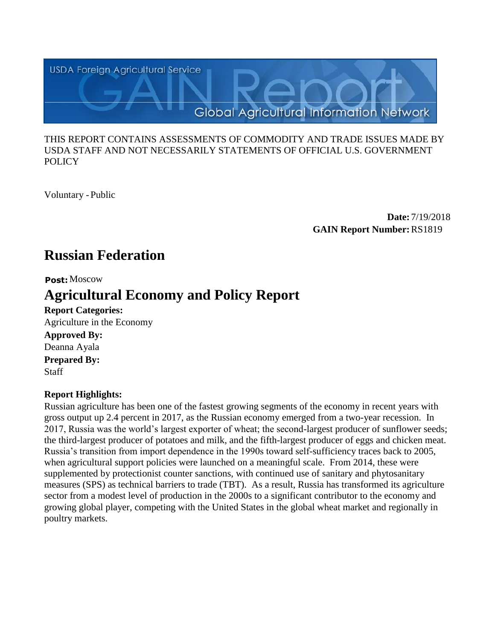

#### THIS REPORT CONTAINS ASSESSMENTS OF COMMODITY AND TRADE ISSUES MADE BY USDA STAFF AND NOT NECESSARILY STATEMENTS OF OFFICIAL U.S. GOVERNMENT POLICY

Voluntary -Public

**Date:** 7/19/2018 **GAIN Report Number:**RS1819

# **Russian Federation**

#### **Post:**Moscow

# **Agricultural Economy and Policy Report**

**Report Categories:** Agriculture in the Economy **Approved By:**  Deanna Ayala **Prepared By:**  Staff

### **Report Highlights:**

Russian agriculture has been one of the fastest growing segments of the economy in recent years with gross output up 2.4 percent in 2017, as the Russian economy emerged from a two-year recession. In 2017, Russia was the world's largest exporter of wheat; the second-largest producer of sunflower seeds; the third-largest producer of potatoes and milk, and the fifth-largest producer of eggs and chicken meat. Russia's transition from import dependence in the 1990s toward self-sufficiency traces back to 2005, when agricultural support policies were launched on a meaningful scale. From 2014, these were supplemented by protectionist counter sanctions, with continued use of sanitary and phytosanitary measures (SPS) as technical barriers to trade (TBT). As a result, Russia has transformed its agriculture sector from a modest level of production in the 2000s to a significant contributor to the economy and growing global player, competing with the United States in the global wheat market and regionally in poultry markets.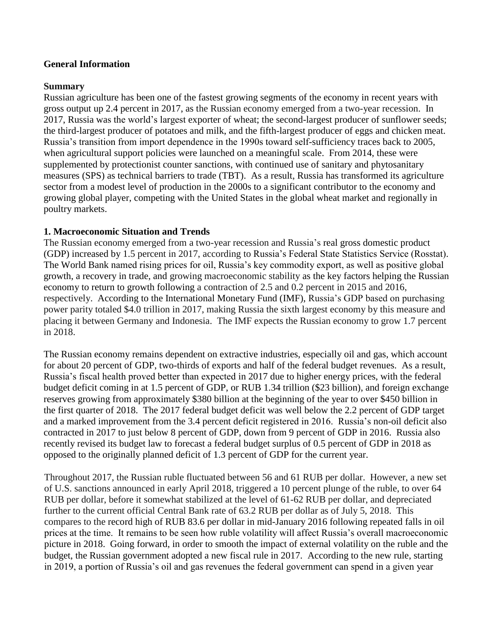#### **General Information**

#### **Summary**

Russian agriculture has been one of the fastest growing segments of the economy in recent years with gross output up 2.4 percent in 2017, as the Russian economy emerged from a two-year recession. In 2017, Russia was the world's largest exporter of wheat; the second-largest producer of sunflower seeds; the third-largest producer of potatoes and milk, and the fifth-largest producer of eggs and chicken meat. Russia's transition from import dependence in the 1990s toward self-sufficiency traces back to 2005, when agricultural support policies were launched on a meaningful scale. From 2014, these were supplemented by protectionist counter sanctions, with continued use of sanitary and phytosanitary measures (SPS) as technical barriers to trade (TBT). As a result, Russia has transformed its agriculture sector from a modest level of production in the 2000s to a significant contributor to the economy and growing global player, competing with the United States in the global wheat market and regionally in poultry markets.

#### **1. Macroeconomic Situation and Trends**

The Russian economy emerged from a two-year recession and Russia's real gross domestic product (GDP) increased by 1.5 percent in 2017, according to Russia's Federal State Statistics Service (Rosstat). The World Bank named rising prices for oil, Russia's key commodity export, as well as positive global growth, a recovery in trade, and growing macroeconomic stability as the key factors helping the Russian economy to return to growth following a contraction of 2.5 and 0.2 percent in 2015 and 2016, respectively. According to the International Monetary Fund (IMF), Russia's GDP based on purchasing power parity totaled \$4.0 trillion in 2017, making Russia the sixth largest economy by this measure and placing it between Germany and Indonesia. The IMF expects the Russian economy to grow 1.7 percent in 2018.

The Russian economy remains dependent on extractive industries, especially oil and gas, which account for about 20 percent of GDP, two-thirds of exports and half of the federal budget revenues. As a result, Russia's fiscal health proved better than expected in 2017 due to higher energy prices, with the federal budget deficit coming in at 1.5 percent of GDP, or RUB 1.34 trillion (\$23 billion), and foreign exchange reserves growing from approximately \$380 billion at the beginning of the year to over \$450 billion in the first quarter of 2018. The 2017 federal budget deficit was well below the 2.2 percent of GDP target and a marked improvement from the 3.4 percent deficit registered in 2016. Russia's non-oil deficit also contracted in 2017 to just below 8 percent of GDP, down from 9 percent of GDP in 2016. Russia also recently revised its budget law to forecast a federal budget surplus of 0.5 percent of GDP in 2018 as opposed to the originally planned deficit of 1.3 percent of GDP for the current year.

Throughout 2017, the Russian ruble fluctuated between 56 and 61 RUB per dollar. However, a new set of U.S. sanctions announced in early April 2018, triggered a 10 percent plunge of the ruble, to over 64 RUB per dollar, before it somewhat stabilized at the level of 61-62 RUB per dollar, and depreciated further to the current official Central Bank rate of 63.2 RUB per dollar as of July 5, 2018. This compares to the record high of RUB 83.6 per dollar in mid-January 2016 following repeated falls in oil prices at the time. It remains to be seen how ruble volatility will affect Russia's overall macroeconomic picture in 2018. Going forward, in order to smooth the impact of external volatility on the ruble and the budget, the Russian government adopted a new fiscal rule in 2017. According to the new rule, starting in 2019, a portion of Russia's oil and gas revenues the federal government can spend in a given year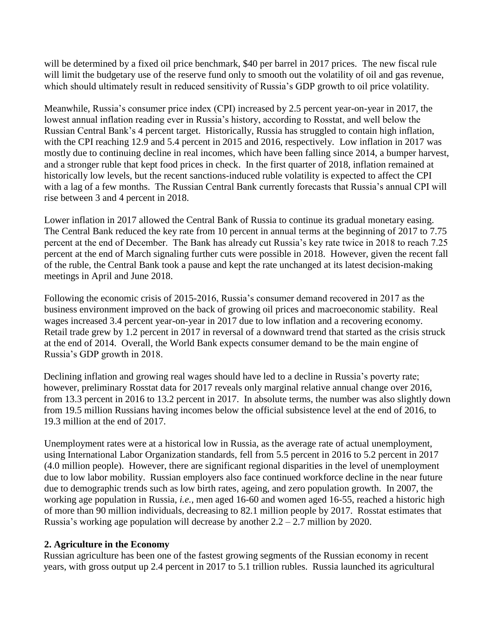will be determined by a fixed oil price benchmark, \$40 per barrel in 2017 prices. The new fiscal rule will limit the budgetary use of the reserve fund only to smooth out the volatility of oil and gas revenue, which should ultimately result in reduced sensitivity of Russia's GDP growth to oil price volatility.

Meanwhile, Russia's consumer price index (CPI) increased by 2.5 percent year-on-year in 2017, the lowest annual inflation reading ever in Russia's history, according to Rosstat, and well below the Russian Central Bank's 4 percent target. Historically, Russia has struggled to contain high inflation, with the CPI reaching 12.9 and 5.4 percent in 2015 and 2016, respectively. Low inflation in 2017 was mostly due to continuing decline in real incomes, which have been falling since 2014, a bumper harvest, and a stronger ruble that kept food prices in check. In the first quarter of 2018, inflation remained at historically low levels, but the recent sanctions-induced ruble volatility is expected to affect the CPI with a lag of a few months. The Russian Central Bank currently forecasts that Russia's annual CPI will rise between 3 and 4 percent in 2018.

Lower inflation in 2017 allowed the Central Bank of Russia to continue its gradual monetary easing. The Central Bank reduced the key rate from 10 percent in annual terms at the beginning of 2017 to 7.75 percent at the end of December. The Bank has already cut Russia's key rate twice in 2018 to reach 7.25 percent at the end of March signaling further cuts were possible in 2018. However, given the recent fall of the ruble, the Central Bank took a pause and kept the rate unchanged at its latest decision-making meetings in April and June 2018.

Following the economic crisis of 2015-2016, Russia's consumer demand recovered in 2017 as the business environment improved on the back of growing oil prices and macroeconomic stability. Real wages increased 3.4 percent year-on-year in 2017 due to low inflation and a recovering economy. Retail trade grew by 1.2 percent in 2017 in reversal of a downward trend that started as the crisis struck at the end of 2014. Overall, the World Bank expects consumer demand to be the main engine of Russia's GDP growth in 2018.

Declining inflation and growing real wages should have led to a decline in Russia's poverty rate; however, preliminary Rosstat data for 2017 reveals only marginal relative annual change over 2016, from 13.3 percent in 2016 to 13.2 percent in 2017. In absolute terms, the number was also slightly down from 19.5 million Russians having incomes below the official subsistence level at the end of 2016, to 19.3 million at the end of 2017.

Unemployment rates were at a historical low in Russia, as the average rate of actual unemployment, using International Labor Organization standards, fell from 5.5 percent in 2016 to 5.2 percent in 2017 (4.0 million people). However, there are significant regional disparities in the level of unemployment due to low labor mobility. Russian employers also face continued workforce decline in the near future due to demographic trends such as low birth rates, ageing, and zero population growth. In 2007, the working age population in Russia, *i.e.*, men aged 16-60 and women aged 16-55, reached a historic high of more than 90 million individuals, decreasing to 82.1 million people by 2017. Rosstat estimates that Russia's working age population will decrease by another  $2.2 - 2.7$  million by 2020.

#### **2. Agriculture in the Economy**

Russian agriculture has been one of the fastest growing segments of the Russian economy in recent years, with gross output up 2.4 percent in 2017 to 5.1 trillion rubles. Russia launched its agricultural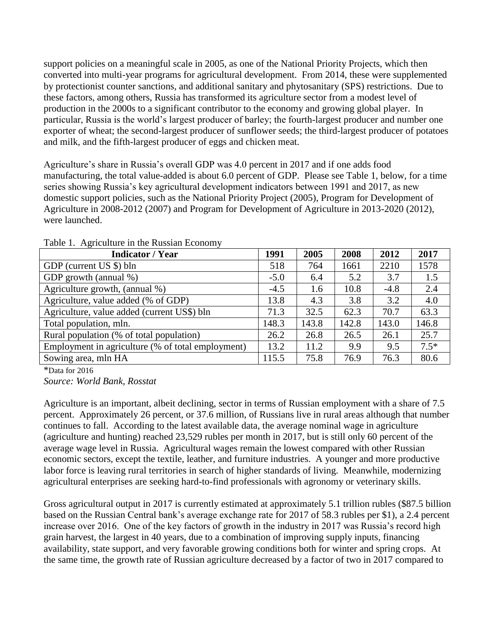support policies on a meaningful scale in 2005, as one of the National Priority Projects, which then converted into multi-year programs for agricultural development. From 2014, these were supplemented by protectionist counter sanctions, and additional sanitary and phytosanitary (SPS) restrictions. Due to these factors, among others, Russia has transformed its agriculture sector from a modest level of production in the 2000s to a significant contributor to the economy and growing global player. In particular, Russia is the world's largest producer of barley; the fourth-largest producer and number one exporter of wheat; the second-largest producer of sunflower seeds; the third-largest producer of potatoes and milk, and the fifth-largest producer of eggs and chicken meat.

Agriculture's share in Russia's overall GDP was 4.0 percent in 2017 and if one adds food manufacturing, the total value-added is about 6.0 percent of GDP. Please see Table 1, below, for a time series showing Russia's key agricultural development indicators between 1991 and 2017, as new domestic support policies, such as the National Priority Project (2005), Program for Development of Agriculture in 2008-2012 (2007) and Program for Development of Agriculture in 2013-2020 (2012), were launched.

| <b>Indicator / Year</b>                           | 1991   | 2005  | 2008  | 2012   | 2017   |
|---------------------------------------------------|--------|-------|-------|--------|--------|
| GDP (current US \$) bln                           | 518    | 764   | 1661  | 2210   | 1578   |
| GDP growth (annual %)                             | $-5.0$ | 6.4   | 5.2   | 3.7    | 1.5    |
| Agriculture growth, (annual %)                    | $-4.5$ | 1.6   | 10.8  | $-4.8$ | 2.4    |
| Agriculture, value added (% of GDP)               | 13.8   | 4.3   | 3.8   | 3.2    | 4.0    |
| Agriculture, value added (current US\$) bln       | 71.3   | 32.5  | 62.3  | 70.7   | 63.3   |
| Total population, mln.                            | 148.3  | 143.8 | 142.8 | 143.0  | 146.8  |
| Rural population (% of total population)          | 26.2   | 26.8  | 26.5  | 26.1   | 25.7   |
| Employment in agriculture (% of total employment) | 13.2   | 11.2  | 9.9   | 9.5    | $7.5*$ |
| Sowing area, mln HA                               | 115.5  | 75.8  | 76.9  | 76.3   | 80.6   |

Table 1. Agriculture in the Russian Economy

\*Data for 2016

*Source: World Bank, Rosstat*

Agriculture is an important, albeit declining, sector in terms of Russian employment with a share of 7.5 percent. Approximately 26 percent, or 37.6 million, of Russians live in rural areas although that number continues to fall. According to the latest available data, the average nominal wage in agriculture (agriculture and hunting) reached 23,529 rubles per month in 2017, but is still only 60 percent of the average wage level in Russia. Agricultural wages remain the lowest compared with other Russian economic sectors, except the textile, leather, and furniture industries. A younger and more productive labor force is leaving rural territories in search of higher standards of living. Meanwhile, modernizing agricultural enterprises are seeking hard-to-find professionals with agronomy or veterinary skills.

Gross agricultural output in 2017 is currently estimated at approximately 5.1 trillion rubles (\$87.5 billion based on the Russian Central bank's average exchange rate for 2017 of 58.3 rubles per \$1), a 2.4 percent increase over 2016. One of the key factors of growth in the industry in 2017 was Russia's record high grain harvest, the largest in 40 years, due to a combination of improving supply inputs, financing availability, state support, and very favorable growing conditions both for winter and spring crops. At the same time, the growth rate of Russian agriculture decreased by a factor of two in 2017 compared to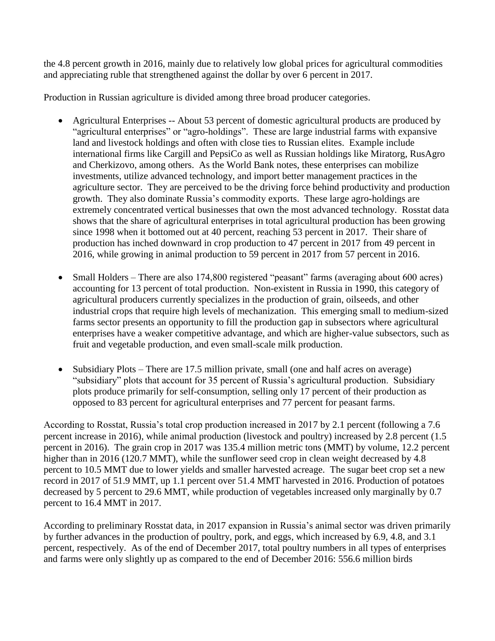the 4.8 percent growth in 2016, mainly due to relatively low global prices for agricultural commodities and appreciating ruble that strengthened against the dollar by over 6 percent in 2017.

Production in Russian agriculture is divided among three broad producer categories.

- Agricultural Enterprises -- About 53 percent of domestic agricultural products are produced by "agricultural enterprises" or "agro-holdings". These are large industrial farms with expansive land and livestock holdings and often with close ties to Russian elites. Example include international firms like Cargill and PepsiCo as well as Russian holdings like Miratorg, RusAgro and Cherkizovo, among others. As the World Bank notes, these enterprises can mobilize investments, utilize advanced technology, and import better management practices in the agriculture sector. They are perceived to be the driving force behind productivity and production growth. They also dominate Russia's commodity exports. These large agro-holdings are extremely concentrated vertical businesses that own the most advanced technology. Rosstat data shows that the share of agricultural enterprises in total agricultural production has been growing since 1998 when it bottomed out at 40 percent, reaching 53 percent in 2017. Their share of production has inched downward in crop production to 47 percent in 2017 from 49 percent in 2016, while growing in animal production to 59 percent in 2017 from 57 percent in 2016.
- Small Holders There are also 174,800 registered "peasant" farms (averaging about 600 acres) accounting for 13 percent of total production. Non-existent in Russia in 1990, this category of agricultural producers currently specializes in the production of grain, oilseeds, and other industrial crops that require high levels of mechanization. This emerging small to medium-sized farms sector presents an opportunity to fill the production gap in subsectors where agricultural enterprises have a weaker competitive advantage, and which are higher-value subsectors, such as fruit and vegetable production, and even small-scale milk production.
- Subsidiary Plots There are 17.5 million private, small (one and half acres on average) "subsidiary" plots that account for 35 percent of Russia's agricultural production. Subsidiary plots produce primarily for self-consumption, selling only 17 percent of their production as opposed to 83 percent for agricultural enterprises and 77 percent for peasant farms.

According to Rosstat, Russia's total crop production increased in 2017 by 2.1 percent (following a 7.6 percent increase in 2016), while animal production (livestock and poultry) increased by 2.8 percent (1.5 percent in 2016). The grain crop in 2017 was 135.4 million metric tons (MMT) by volume, 12.2 percent higher than in 2016 (120.7 MMT), while the sunflower seed crop in clean weight decreased by 4.8 percent to 10.5 MMT due to lower yields and smaller harvested acreage. The sugar beet crop set a new record in 2017 of 51.9 MMT, up 1.1 percent over 51.4 MMT harvested in 2016. Production of potatoes decreased by 5 percent to 29.6 MMT, while production of vegetables increased only marginally by 0.7 percent to 16.4 MMT in 2017.

According to preliminary Rosstat data, in 2017 expansion in Russia's animal sector was driven primarily by further advances in the production of poultry, pork, and eggs, which increased by 6.9, 4.8, and 3.1 percent, respectively. As of the end of December 2017, total poultry numbers in all types of enterprises and farms were only slightly up as compared to the end of December 2016: 556.6 million birds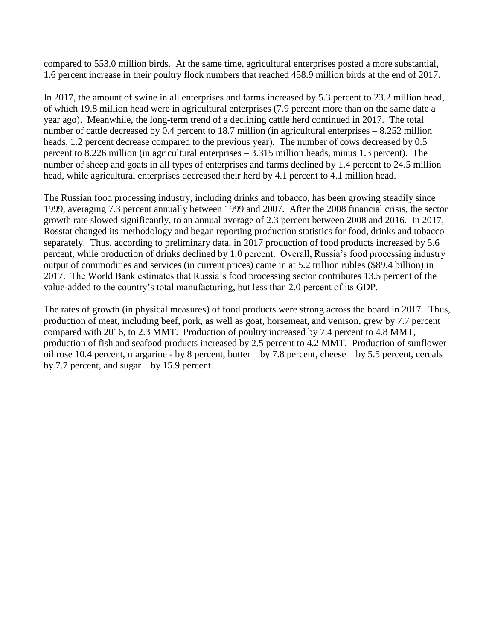compared to 553.0 million birds. At the same time, agricultural enterprises posted a more substantial, 1.6 percent increase in their poultry flock numbers that reached 458.9 million birds at the end of 2017.

In 2017, the amount of swine in all enterprises and farms increased by 5.3 percent to 23.2 million head, of which 19.8 million head were in agricultural enterprises (7.9 percent more than on the same date a year ago). Meanwhile, the long-term trend of a declining cattle herd continued in 2017. The total number of cattle decreased by 0.4 percent to 18.7 million (in agricultural enterprises – 8.252 million heads, 1.2 percent decrease compared to the previous year). The number of cows decreased by 0.5 percent to 8.226 million (in agricultural enterprises – 3.315 million heads, minus 1.3 percent). The number of sheep and goats in all types of enterprises and farms declined by 1.4 percent to 24.5 million head, while agricultural enterprises decreased their herd by 4.1 percent to 4.1 million head.

The Russian food processing industry, including drinks and tobacco, has been growing steadily since 1999, averaging 7.3 percent annually between 1999 and 2007. After the 2008 financial crisis, the sector growth rate slowed significantly, to an annual average of 2.3 percent between 2008 and 2016. In 2017, Rosstat changed its methodology and began reporting production statistics for food, drinks and tobacco separately. Thus, according to preliminary data, in 2017 production of food products increased by 5.6 percent, while production of drinks declined by 1.0 percent. Overall, Russia's food processing industry output of commodities and services (in current prices) came in at 5.2 trillion rubles (\$89.4 billion) in 2017. The World Bank estimates that Russia's food processing sector contributes 13.5 percent of the value-added to the country's total manufacturing, but less than 2.0 percent of its GDP.

The rates of growth (in physical measures) of food products were strong across the board in 2017. Thus, production of meat, including beef, pork, as well as goat, horsemeat, and venison, grew by 7.7 percent compared with 2016, to 2.3 MMT. Production of poultry increased by 7.4 percent to 4.8 MMT, production of fish and seafood products increased by 2.5 percent to 4.2 MMT. Production of sunflower oil rose 10.4 percent, margarine - by 8 percent, butter – by 7.8 percent, cheese – by 5.5 percent, cereals – by 7.7 percent, and sugar – by 15.9 percent.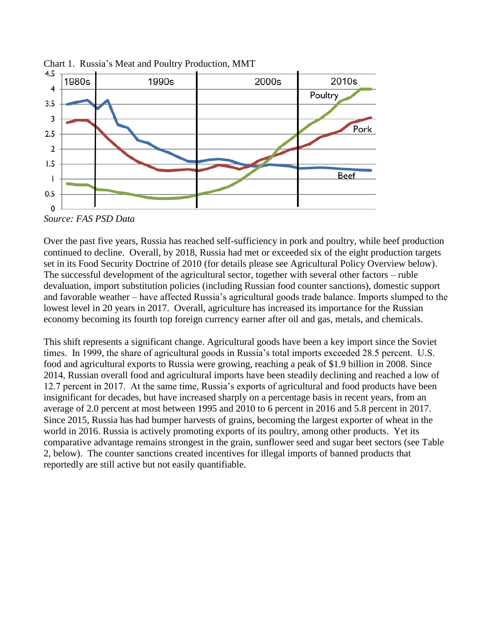

Chart 1. Russia's Meat and Poultry Production, MMT

*Source: FAS PSD Data*

Over the past five years, Russia has reached self-sufficiency in pork and poultry, while beef production continued to decline. Overall, by 2018, Russia had met or exceeded six of the eight production targets set in its Food Security Doctrine of 2010 (for details please see Agricultural Policy Overview below). The successful development of the agricultural sector, together with several other factors – ruble devaluation, import substitution policies (including Russian food counter sanctions), domestic support and favorable weather – have affected Russia's agricultural goods trade balance. Imports slumped to the lowest level in 20 years in 2017. Overall, agriculture has increased its importance for the Russian economy becoming its fourth top foreign currency earner after oil and gas, metals, and chemicals.

This shift represents a significant change. Agricultural goods have been a key import since the Soviet times. In 1999, the share of agricultural goods in Russia's total imports exceeded 28.5 percent. U.S. food and agricultural exports to Russia were growing, reaching a peak of \$1.9 billion in 2008. Since 2014, Russian overall food and agricultural imports have been steadily declining and reached a low of 12.7 percent in 2017. At the same time, Russia's exports of agricultural and food products have been insignificant for decades, but have increased sharply on a percentage basis in recent years, from an average of 2.0 percent at most between 1995 and 2010 to 6 percent in 2016 and 5.8 percent in 2017. Since 2015, Russia has had bumper harvests of grains, becoming the largest exporter of wheat in the world in 2016. Russia is actively promoting exports of its poultry, among other products. Yet its comparative advantage remains strongest in the grain, sunflower seed and sugar beet sectors (see Table 2, below). The counter sanctions created incentives for illegal imports of banned products that reportedly are still active but not easily quantifiable.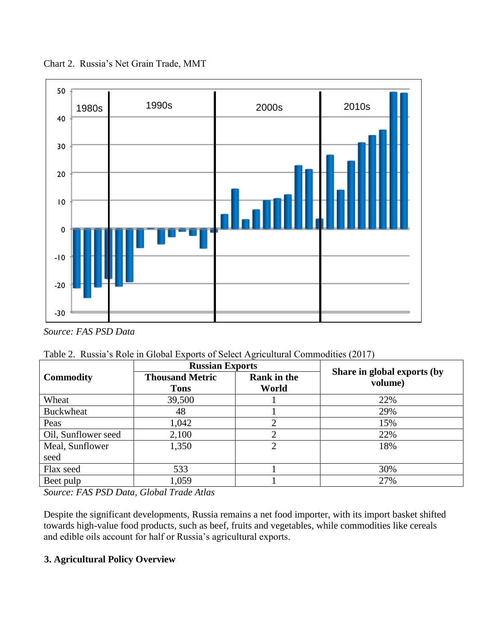

Chart 2. Russia's Net Grain Trade, MMT

*Source: FAS PSD Data*

 $\overline{a}$ 

|  |  |  | Table 2. Russia's Role in Global Exports of Select Agricultural Commodities (2017) |  |
|--|--|--|------------------------------------------------------------------------------------|--|
|  |  |  |                                                                                    |  |

|                         | <b>Russian Exports</b>                |                             | Share in global exports (by |  |  |  |  |
|-------------------------|---------------------------------------|-----------------------------|-----------------------------|--|--|--|--|
| <b>Commodity</b>        | <b>Thousand Metric</b><br><b>Tons</b> | <b>Rank in the</b><br>World | volume)                     |  |  |  |  |
| Wheat                   | 39,500                                |                             | 22%                         |  |  |  |  |
| <b>Buckwheat</b>        | 48                                    |                             | 29%                         |  |  |  |  |
| Peas                    | 1,042                                 |                             | 15%                         |  |  |  |  |
| Oil, Sunflower seed     | 2,100                                 |                             | 22%                         |  |  |  |  |
| Meal, Sunflower<br>seed | 1,350                                 | ◠                           | 18%                         |  |  |  |  |
|                         | 533                                   |                             | 30%                         |  |  |  |  |
| Flax seed               |                                       |                             |                             |  |  |  |  |
| Beet pulp               | 1,059                                 |                             | 27%                         |  |  |  |  |

*Source: FAS PSD Data, Global Trade Atlas*

Despite the significant developments, Russia remains a net food importer, with its import basket shifted towards high-value food products, such as beef, fruits and vegetables, while commodities like cereals and edible oils account for half or Russia's agricultural exports.

## **3. Agricultural Policy Overview**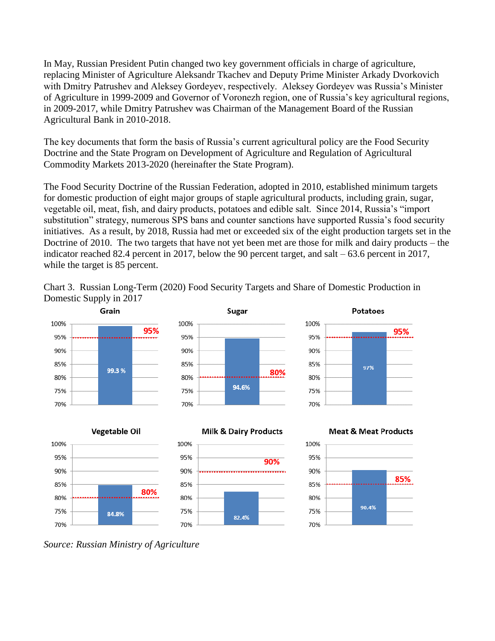In May, Russian President Putin changed two key government officials in charge of agriculture, replacing Minister of Agriculture Aleksandr Tkachev and Deputy Prime Minister Arkady Dvorkovich with Dmitry Patrushev and Aleksey Gordeyev, respectively. Aleksey Gordeyev was Russia's Minister of Agriculture in 1999-2009 and Governor of Voronezh region, one of Russia's key agricultural regions, in 2009-2017, while Dmitry Patrushev was Chairman of the Management Board of the Russian Agricultural Bank in 2010-2018.

The key documents that form the basis of Russia's current agricultural policy are the Food Security Doctrine and the State Program on Development of Agriculture and Regulation of Agricultural Commodity Markets 2013-2020 (hereinafter the State Program).

The Food Security Doctrine of the Russian Federation, adopted in 2010, established minimum targets for domestic production of eight major groups of staple agricultural products, including grain, sugar, vegetable oil, meat, fish, and dairy products, potatoes and edible salt. Since 2014, Russia's "import substitution" strategy, numerous SPS bans and counter sanctions have supported Russia's food security initiatives. As a result, by 2018, Russia had met or exceeded six of the eight production targets set in the Doctrine of 2010. The two targets that have not yet been met are those for milk and dairy products – the indicator reached 82.4 percent in 2017, below the 90 percent target, and salt – 63.6 percent in 2017, while the target is 85 percent.

Chart 3. Russian Long-Term (2020) Food Security Targets and Share of Domestic Production in Domestic Supply in 2017



*Source: Russian Ministry of Agriculture*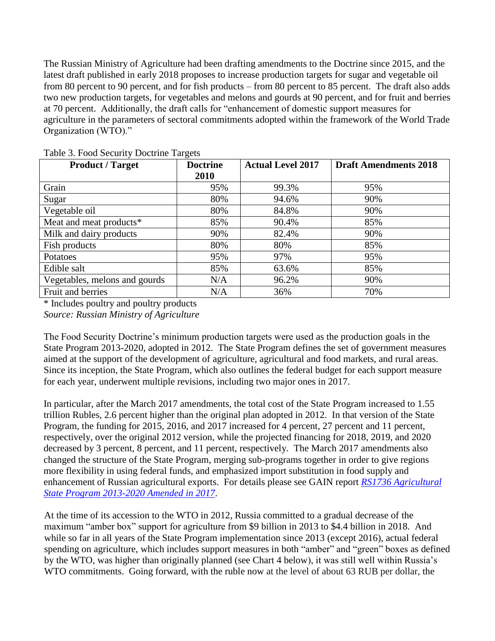The Russian Ministry of Agriculture had been drafting amendments to the Doctrine since 2015, and the latest draft published in early 2018 proposes to increase production targets for sugar and vegetable oil from 80 percent to 90 percent, and for fish products – from 80 percent to 85 percent. The draft also adds two new production targets, for vegetables and melons and gourds at 90 percent, and for fruit and berries at 70 percent. Additionally, the draft calls for "enhancement of domestic support measures for agriculture in the parameters of sectoral commitments adopted within the framework of the World Trade Organization (WTO)."

| <b>Product / Target</b>       | <b>Doctrine</b> | <b>Actual Level 2017</b> | <b>Draft Amendments 2018</b> |  |  |  |  |
|-------------------------------|-----------------|--------------------------|------------------------------|--|--|--|--|
|                               | 2010            |                          |                              |  |  |  |  |
| Grain                         | 95%             | 99.3%                    | 95%                          |  |  |  |  |
| Sugar                         | 80%             | 94.6%                    | 90%                          |  |  |  |  |
| Vegetable oil                 | 80%             | 84.8%                    | 90%                          |  |  |  |  |
| Meat and meat products*       | 85%             | 90.4%                    | 85%                          |  |  |  |  |
| Milk and dairy products       | 90%             | 82.4%                    | 90%                          |  |  |  |  |
| Fish products                 | 80%             | 80%                      | 85%                          |  |  |  |  |
| Potatoes                      | 95%             | 97%                      | 95%                          |  |  |  |  |
| Edible salt                   | 85%             | 63.6%                    | 85%                          |  |  |  |  |
| Vegetables, melons and gourds | N/A             | 96.2%                    | 90%                          |  |  |  |  |
| Fruit and berries             | N/A             | 36%                      | 70%                          |  |  |  |  |

Table 3. Food Security Doctrine Targets

\* Includes poultry and poultry products *Source: Russian Ministry of Agriculture*

The Food Security Doctrine's minimum production targets were used as the production goals in the State Program 2013-2020, adopted in 2012. The State Program defines the set of government measures aimed at the support of the development of agriculture, agricultural and food markets, and rural areas. Since its inception, the State Program, which also outlines the federal budget for each support measure for each year, underwent multiple revisions, including two major ones in 2017.

In particular, after the March 2017 amendments, the total cost of the State Program increased to 1.55 trillion Rubles, 2.6 percent higher than the original plan adopted in 2012. In that version of the State Program, the funding for 2015, 2016, and 2017 increased for 4 percent, 27 percent and 11 percent, respectively, over the original 2012 version, while the projected financing for 2018, 2019, and 2020 decreased by 3 percent, 8 percent, and 11 percent, respectively. The March 2017 amendments also changed the structure of the State Program, merging sub-programs together in order to give regions more flexibility in using federal funds, and emphasized import substitution in food supply and enhancement of Russian agricultural exports. For details please see GAIN report *[RS1736 Agricultural](https://gain.fas.usda.gov/Recent%20GAIN%20Publications/Agricultural%20State%20Program%202013-2020%20Amended%20in%202017_Moscow_Russian%20Federation_6-8-2017.pdf)  [State Program 2013-2020 Amended in 2017](https://gain.fas.usda.gov/Recent%20GAIN%20Publications/Agricultural%20State%20Program%202013-2020%20Amended%20in%202017_Moscow_Russian%20Federation_6-8-2017.pdf)*.

At the time of its accession to the WTO in 2012, Russia committed to a gradual decrease of the maximum "amber box" support for agriculture from \$9 billion in 2013 to \$4.4 billion in 2018. And while so far in all years of the State Program implementation since 2013 (except 2016), actual federal spending on agriculture, which includes support measures in both "amber" and "green" boxes as defined by the WTO, was higher than originally planned (see Chart 4 below), it was still well within Russia's WTO commitments. Going forward, with the ruble now at the level of about 63 RUB per dollar, the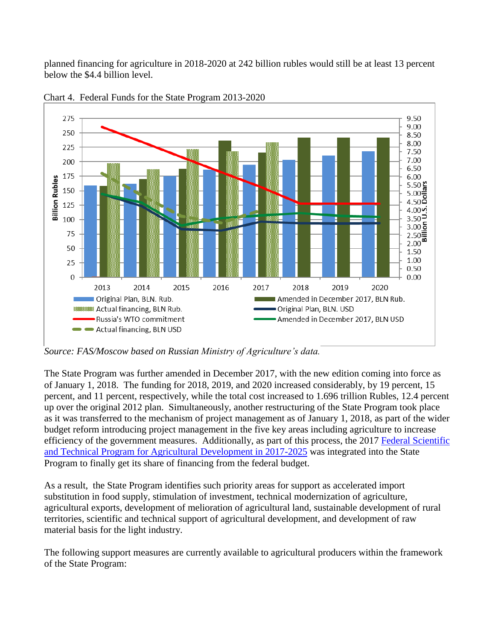planned financing for agriculture in 2018-2020 at 242 billion rubles would still be at least 13 percent below the \$4.4 billion level.



Chart 4. Federal Funds for the State Program 2013-2020

*Source: FAS/Moscow based on Russian Ministry of Agriculture's data.*

The State Program was further amended in December 2017, with the new edition coming into force as of January 1, 2018. The funding for 2018, 2019, and 2020 increased considerably, by 19 percent, 15 percent, and 11 percent, respectively, while the total cost increased to 1.696 trillion Rubles, 12.4 percent up over the original 2012 plan. Simultaneously, another restructuring of the State Program took place as it was transferred to the mechanism of project management as of January 1, 2018, as part of the wider budget reform introducing project management in the five key areas including agriculture to increase efficiency of the government measures. Additionally, as part of this process, the 2017 [Federal Scientific](https://gain.fas.usda.gov/Recent%20GAIN%20Publications/New%20Program%20to%20Develop%20Domestic%20Seeds%20and%20Genetics_Moscow_Russian%20Federation_10-23-2017.pdf)  [and Technical Program for Agricultural Development in 2017-2025](https://gain.fas.usda.gov/Recent%20GAIN%20Publications/New%20Program%20to%20Develop%20Domestic%20Seeds%20and%20Genetics_Moscow_Russian%20Federation_10-23-2017.pdf) was integrated into the State Program to finally get its share of financing from the federal budget.

As a result, the State Program identifies such priority areas for support as accelerated import substitution in food supply, stimulation of investment, technical modernization of agriculture, agricultural exports, development of melioration of agricultural land, sustainable development of rural territories, scientific and technical support of agricultural development, and development of raw material basis for the light industry.

The following support measures are currently available to agricultural producers within the framework of the State Program: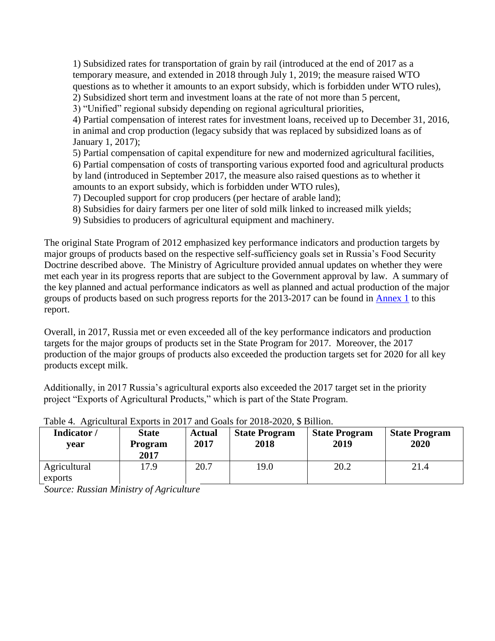1) Subsidized rates for transportation of grain by rail (introduced at the end of 2017 as a temporary measure, and extended in 2018 through July 1, 2019; the measure raised WTO questions as to whether it amounts to an export subsidy, which is forbidden under WTO rules), 2) Subsidized short term and investment loans at the rate of not more than 5 percent, 3) "Unified" regional subsidy depending on regional agricultural priorities, 4) Partial compensation of interest rates for investment loans, received up to December 31, 2016, in animal and crop production (legacy subsidy that was replaced by subsidized loans as of January 1, 2017); 5) Partial compensation of capital expenditure for new and modernized agricultural facilities, 6) Partial compensation of costs of transporting various exported food and agricultural products by land (introduced in September 2017, the measure also raised questions as to whether it

amounts to an export subsidy, which is forbidden under WTO rules), 7) Decoupled support for crop producers (per hectare of arable land);

8) Subsidies for dairy farmers per one liter of sold milk linked to increased milk yields;

9) Subsidies to producers of agricultural equipment and machinery.

The original State Program of 2012 emphasized key performance indicators and production targets by major groups of products based on the respective self-sufficiency goals set in Russia's Food Security Doctrine described above. The Ministry of Agriculture provided annual updates on whether they were met each year in its progress reports that are subject to the Government approval by law. A summary of the key planned and actual performance indicators as well as planned and actual production of the major groups of products based on such progress reports for the 2013-2017 can be found in [Annex 1](#page-20-0) to this report.

Overall, in 2017, Russia met or even exceeded all of the key performance indicators and production targets for the major groups of products set in the State Program for 2017. Moreover, the 2017 production of the major groups of products also exceeded the production targets set for 2020 for all key products except milk.

Additionally, in 2017 Russia's agricultural exports also exceeded the 2017 target set in the priority project "Exports of Agricultural Products," which is part of the State Program.

| Indicator/<br>vear      | <b>State</b><br>Program<br>2017 | <b>Actual</b><br>2017 | <b>State Program</b><br>2018 | <b>State Program</b><br>2019 | <b>State Program</b><br>2020 |
|-------------------------|---------------------------------|-----------------------|------------------------------|------------------------------|------------------------------|
| Agricultural<br>exports | 17.9                            | 20.7                  | 19.0                         | 20.2                         | 21.4                         |

Table 4. Agricultural Exports in 2017 and Goals for 2018-2020, \$ Billion.

*Source: Russian Ministry of Agriculture*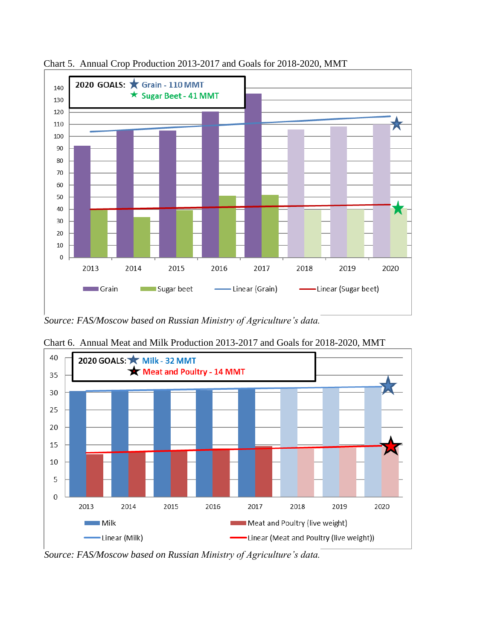

Chart 5. Annual Crop Production 2013-2017 and Goals for 2018-2020, MMT

*Source: FAS/Moscow based on Russian Ministry of Agriculture's data.*



Chart 6. Annual Meat and Milk Production 2013-2017 and Goals for 2018-2020, MMT

*Source: FAS/Moscow based on Russian Ministry of Agriculture's data.*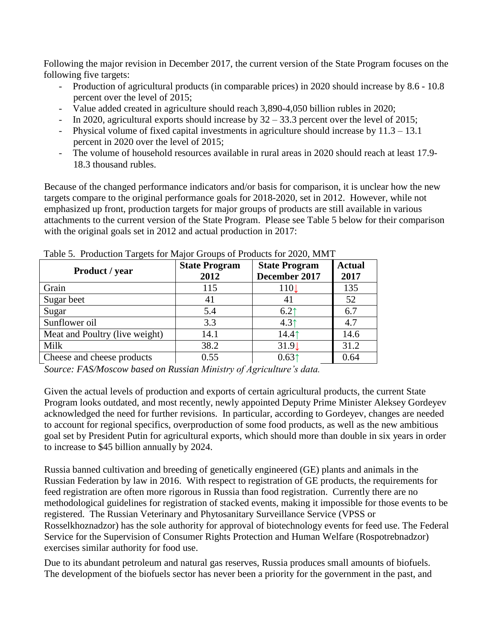Following the major revision in December 2017, the current version of the State Program focuses on the following five targets:

- Production of agricultural products (in comparable prices) in 2020 should increase by 8.6 10.8 percent over the level of 2015;
- Value added created in agriculture should reach 3,890-4,050 billion rubles in 2020;
- In 2020, agricultural exports should increase by  $32 33.3$  percent over the level of 2015;
- Physical volume of fixed capital investments in agriculture should increase by 11.3 13.1 percent in 2020 over the level of 2015;
- The volume of household resources available in rural areas in 2020 should reach at least 17.9- 18.3 thousand rubles.

Because of the changed performance indicators and/or basis for comparison, it is unclear how the new targets compare to the original performance goals for 2018-2020, set in 2012. However, while not emphasized up front, production targets for major groups of products are still available in various attachments to the current version of the State Program. Please see Table 5 below for their comparison with the original goals set in 2012 and actual production in 2017:

| Product / year                 | <b>State Program</b><br>2012 | <b>State Program</b><br>December 2017 | <b>Actual</b><br>2017 |
|--------------------------------|------------------------------|---------------------------------------|-----------------------|
| Grain                          | 115                          | 1101                                  | 135                   |
| Sugar beet                     | 41                           | 41                                    | 52                    |
| Sugar                          | 5.4                          | 6.2 <sup>†</sup>                      | 6.7                   |
| Sunflower oil                  | 3.3                          | 4.3 <sup>†</sup>                      | 4.7                   |
| Meat and Poultry (live weight) | 14.1                         | 14.41                                 | 14.6                  |
| Milk                           | 38.2                         | 31.9                                  | 31.2                  |
| Cheese and cheese products     | 0.55                         | 0.631                                 | 0.64                  |

Table 5. Production Targets for Major Groups of Products for 2020, MMT

*Source: FAS/Moscow based on Russian Ministry of Agriculture's data.*

Given the actual levels of production and exports of certain agricultural products, the current State Program looks outdated, and most recently, newly appointed Deputy Prime Minister Aleksey Gordeyev acknowledged the need for further revisions. In particular, according to Gordeyev, changes are needed to account for regional specifics, overproduction of some food products, as well as the new ambitious goal set by President Putin for agricultural exports, which should more than double in six years in order to increase to \$45 billion annually by 2024.

Russia banned cultivation and breeding of genetically engineered (GE) plants and animals in the Russian Federation by law in 2016. With respect to registration of GE products, the requirements for feed registration are often more rigorous in Russia than food registration. Currently there are no methodological guidelines for registration of stacked events, making it impossible for those events to be registered. The Russian Veterinary and Phytosanitary Surveillance Service (VPSS or Rosselkhoznadzor) has the sole authority for approval of biotechnology events for feed use. The Federal Service for the Supervision of Consumer Rights Protection and Human Welfare (Rospotrebnadzor) exercises similar authority for food use.

Due to its abundant petroleum and natural gas reserves, Russia produces small amounts of biofuels. The development of the biofuels sector has never been a priority for the government in the past, and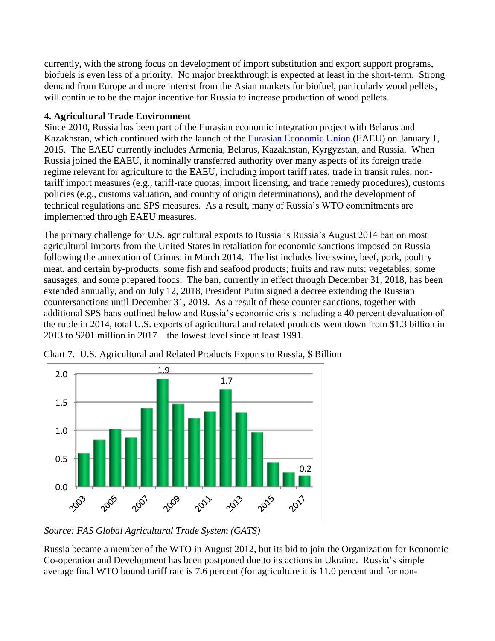currently, with the strong focus on development of import substitution and export support programs, biofuels is even less of a priority. No major breakthrough is expected at least in the short-term. Strong demand from Europe and more interest from the Asian markets for biofuel, particularly wood pellets, will continue to be the major incentive for Russia to increase production of wood pellets.

### **4. Agricultural Trade Environment**

Since 2010, Russia has been part of the Eurasian economic integration project with Belarus and Kazakhstan, which continued with the launch of the [Eurasian Economic Union](http://gain.fas.usda.gov/Recent%20GAIN%20Publications/Eurasian%20Economic%20Union%20One%20Year%20On_Moscow_Russian%20Federation_3-11-2016.pdf) (EAEU) on January 1, 2015. The EAEU currently includes Armenia, Belarus, Kazakhstan, Kyrgyzstan, and Russia. When Russia joined the EAEU, it nominally transferred authority over many aspects of its foreign trade regime relevant for agriculture to the EAEU, including import tariff rates, trade in transit rules, nontariff import measures (e.g., tariff-rate quotas, import licensing, and trade remedy procedures), customs policies (e.g., customs valuation, and country of origin determinations), and the development of technical regulations and SPS measures. As a result, many of Russia's WTO commitments are implemented through EAEU measures.

The primary challenge for U.S. agricultural exports to Russia is Russia's August 2014 ban on most agricultural imports from the United States in retaliation for economic sanctions imposed on Russia following the annexation of Crimea in March 2014. The list includes live swine, beef, pork, poultry meat, and certain by-products, some fish and seafood products; fruits and raw nuts; vegetables; some sausages; and some prepared foods. The ban, currently in effect through December 31, 2018, has been extended annually, and on July 12, 2018, President Putin signed a decree extending the Russian countersanctions until December 31, 2019. As a result of these counter sanctions, together with additional SPS bans outlined below and Russia's economic crisis including a 40 percent devaluation of the ruble in 2014, total U.S. exports of agricultural and related products went down from \$1.3 billion in 2013 to \$201 million in 2017 – the lowest level since at least 1991.



Chart 7. U.S. Agricultural and Related Products Exports to Russia, \$ Billion

*Source: FAS Global Agricultural Trade System (GATS)*

Russia became a member of the WTO in August 2012, but its bid to join the Organization for Economic Co-operation and Development has been postponed due to its actions in Ukraine. Russia's simple average final WTO bound tariff rate is 7.6 percent (for agriculture it is 11.0 percent and for non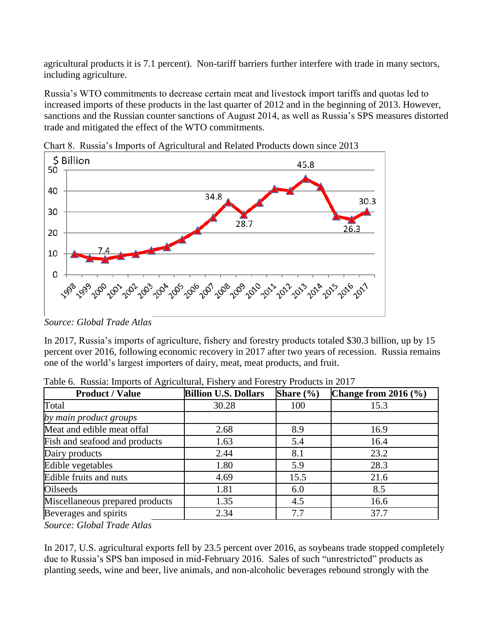agricultural products it is 7.1 percent). Non-tariff barriers further interfere with trade in many sectors, including agriculture.

Russia's WTO commitments to decrease certain meat and livestock import tariffs and quotas led to increased imports of these products in the last quarter of 2012 and in the beginning of 2013. However, sanctions and the Russian counter sanctions of August 2014, as well as Russia's SPS measures distorted trade and mitigated the effect of the WTO commitments.



Chart 8. Russia's Imports of Agricultural and Related Products down since 2013

*Source: Global Trade Atlas*

In 2017, Russia's imports of agriculture, fishery and forestry products totaled \$30.3 billion, up by 15 percent over 2016, following economic recovery in 2017 after two years of recession. Russia remains one of the world's largest importers of dairy, meat, meat products, and fruit.

| <b>Product / Value</b>          | <b>Billion U.S. Dollars</b> | Share $(\% )$ | Change from $2016$ $(\frac{6}{6})$ |
|---------------------------------|-----------------------------|---------------|------------------------------------|
| Total                           | 30.28                       | 100           | 15.3                               |
| by main product groups          |                             |               |                                    |
| Meat and edible meat offal      | 2.68                        | 8.9           | 16.9                               |
| Fish and seafood and products   | 1.63                        | 5.4           | 16.4                               |
| Dairy products                  | 2.44                        | 8.1           | 23.2                               |
| Edible vegetables               | 1.80                        | 5.9           | 28.3                               |
| Edible fruits and nuts          | 4.69                        | 15.5          | 21.6                               |
| Oilseeds                        | 1.81                        | 6.0           | 8.5                                |
| Miscellaneous prepared products | 1.35                        | 4.5           | 16.6                               |
| Beverages and spirits           | 2.34                        | 7.7           | 37.7                               |

Table 6. Russia: Imports of Agricultural, Fishery and Forestry Products in 2017

*Source: Global Trade Atlas*

In 2017, U.S. agricultural exports fell by 23.5 percent over 2016, as soybeans trade stopped completely due to Russia's SPS ban imposed in mid-February 2016. Sales of such "unrestricted" products as planting seeds, wine and beer, live animals, and non-alcoholic beverages rebound strongly with the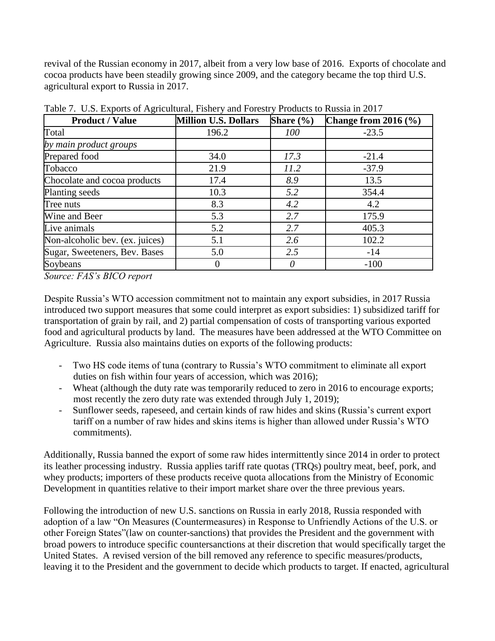revival of the Russian economy in 2017, albeit from a very low base of 2016. Exports of chocolate and cocoa products have been steadily growing since 2009, and the category became the top third U.S. agricultural export to Russia in 2017.

| <b>Product / Value</b>          | <b>Million U.S. Dollars</b> | Share $(\% )$ | Change from $2016$ $(\%)$ |
|---------------------------------|-----------------------------|---------------|---------------------------|
| Total                           | 196.2                       | 100           | $-23.5$                   |
| by main product groups          |                             |               |                           |
| Prepared food                   | 34.0                        | 17.3          | $-21.4$                   |
| Tobacco                         | 21.9                        | 11.2          | $-37.9$                   |
| Chocolate and cocoa products    | 17.4                        | 8.9           | 13.5                      |
| Planting seeds                  | 10.3                        | 5.2           | 354.4                     |
| Tree nuts                       | 8.3                         | 4.2           | 4.2                       |
| Wine and Beer                   | 5.3                         | 2.7           | 175.9                     |
| Live animals                    | 5.2                         | 2.7           | 405.3                     |
| Non-alcoholic bev. (ex. juices) | 5.1                         | 2.6           | 102.2                     |
| Sugar, Sweeteners, Bev. Bases   | 5.0                         | 2.5           | $-14$                     |
| Soybeans                        |                             | 0             | $-100$                    |

Table 7. U.S. Exports of Agricultural, Fishery and Forestry Products to Russia in 2017

*Source: FAS's BICO report*

Despite Russia's WTO accession commitment not to maintain any export subsidies, in 2017 Russia introduced two support measures that some could interpret as export subsidies: 1) subsidized tariff for transportation of grain by rail, and 2) partial compensation of costs of transporting various exported food and agricultural products by land. The measures have been addressed at the WTO Committee on Agriculture. Russia also maintains duties on exports of the following products:

- Two HS code items of tuna (contrary to Russia's WTO commitment to eliminate all export duties on fish within four years of accession, which was 2016);
- Wheat (although the duty rate was temporarily reduced to zero in 2016 to encourage exports; most recently the zero duty rate was extended through July 1, 2019);
- Sunflower seeds, rapeseed, and certain kinds of raw hides and skins (Russia's current export tariff on a number of raw hides and skins items is higher than allowed under Russia's WTO commitments).

Additionally, Russia banned the export of some raw hides intermittently since 2014 in order to protect its leather processing industry. Russia applies tariff rate quotas (TRQs) poultry meat, beef, pork, and whey products; importers of these products receive quota allocations from the Ministry of Economic Development in quantities relative to their import market share over the three previous years.

Following the introduction of new U.S. sanctions on Russia in early 2018, Russia responded with adoption of a law "On Measures (Countermeasures) in Response to Unfriendly Actions of the U.S. or other Foreign States"(law on counter-sanctions) that provides the President and the government with broad powers to introduce specific countersanctions at their discretion that would specifically target the United States. A revised version of the bill removed any reference to specific measures/products, leaving it to the President and the government to decide which products to target. If enacted, agricultural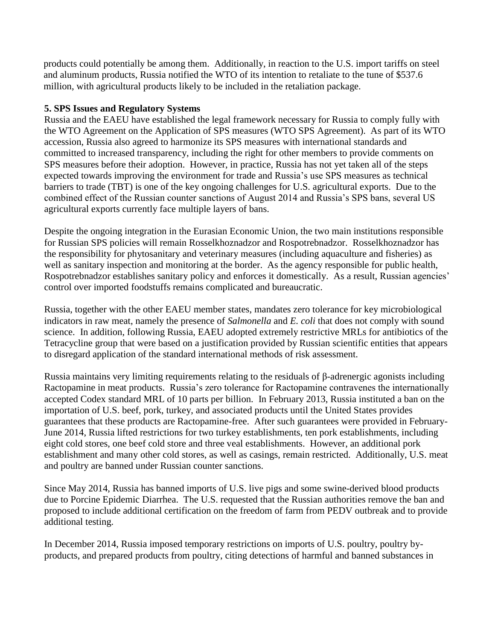products could potentially be among them. Additionally, in reaction to the U.S. import tariffs on steel and aluminum products, Russia notified the WTO of its intention to retaliate to the tune of \$537.6 million, with agricultural products likely to be included in the retaliation package.

#### **5. SPS Issues and Regulatory Systems**

Russia and the EAEU have established the legal framework necessary for Russia to comply fully with the WTO Agreement on the Application of SPS measures (WTO SPS Agreement). As part of its WTO accession, Russia also agreed to harmonize its SPS measures with international standards and committed to increased transparency, including the right for other members to provide comments on SPS measures before their adoption. However, in practice, Russia has not yet taken all of the steps expected towards improving the environment for trade and Russia's use SPS measures as technical barriers to trade (TBT) is one of the key ongoing challenges for U.S. agricultural exports. Due to the combined effect of the Russian counter sanctions of August 2014 and Russia's SPS bans, several US agricultural exports currently face multiple layers of bans.

Despite the ongoing integration in the Eurasian Economic Union, the two main institutions responsible for Russian SPS policies will remain Rosselkhoznadzor and Rospotrebnadzor. Rosselkhoznadzor has the responsibility for phytosanitary and veterinary measures (including aquaculture and fisheries) as well as sanitary inspection and monitoring at the border. As the agency responsible for public health, Rospotrebnadzor establishes sanitary policy and enforces it domestically. As a result, Russian agencies' control over imported foodstuffs remains complicated and bureaucratic.

Russia, together with the other EAEU member states, mandates zero tolerance for key microbiological indicators in raw meat, namely the presence of *Salmonella* and *E. coli* that does not comply with sound science. In addition, following Russia, EAEU adopted extremely restrictive MRLs for antibiotics of the Tetracycline group that were based on a justification provided by Russian scientific entities that appears to disregard application of the standard international methods of risk assessment.

Russia maintains very limiting requirements relating to the residuals of β-adrenergic agonists including Ractopamine in meat products. Russia's zero tolerance for Ractopamine contravenes the internationally accepted Codex standard MRL of 10 parts per billion. In February 2013, Russia instituted a ban on the importation of U.S. beef, pork, turkey, and associated products until the United States provides guarantees that these products are Ractopamine-free. After such guarantees were provided in February-June 2014, Russia lifted restrictions for two turkey establishments, ten pork establishments, including eight cold stores, one beef cold store and three veal establishments. However, an additional pork establishment and many other cold stores, as well as casings, remain restricted. Additionally, U.S. meat and poultry are banned under Russian counter sanctions.

Since May 2014, Russia has banned imports of U.S. live pigs and some swine-derived blood products due to Porcine Epidemic Diarrhea. The U.S. requested that the Russian authorities remove the ban and proposed to include additional certification on the freedom of farm from PEDV outbreak and to provide additional testing.

In December 2014, Russia imposed temporary restrictions on imports of U.S. poultry, poultry byproducts, and prepared products from poultry, citing detections of harmful and banned substances in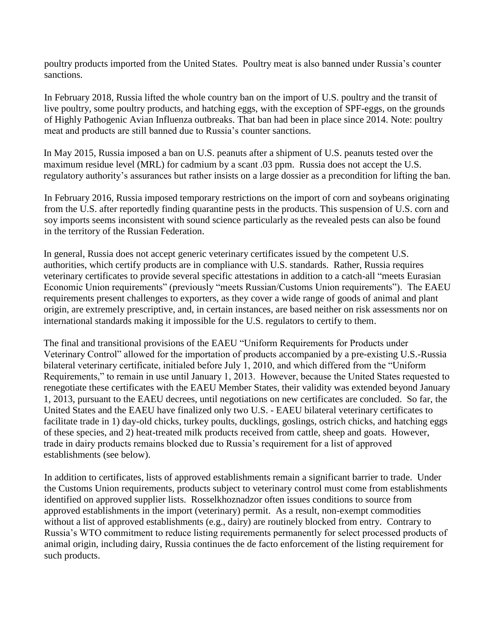poultry products imported from the United States. Poultry meat is also banned under Russia's counter sanctions.

In February 2018, Russia lifted the whole country ban on the import of U.S. poultry and the transit of live poultry, some poultry products, and hatching eggs, with the exception of SPF-eggs, on the grounds of Highly Pathogenic Avian Influenza outbreaks. That ban had been in place since 2014. Note: poultry meat and products are still banned due to Russia's counter sanctions.

In May 2015, Russia imposed a ban on U.S. peanuts after a shipment of U.S. peanuts tested over the maximum residue level (MRL) for cadmium by a scant .03 ppm. Russia does not accept the U.S. regulatory authority's assurances but rather insists on a large dossier as a precondition for lifting the ban.

In February 2016, Russia imposed temporary restrictions on the import of corn and soybeans originating from the U.S. after reportedly finding quarantine pests in the products. This suspension of U.S. corn and soy imports seems inconsistent with sound science particularly as the revealed pests can also be found in the territory of the Russian Federation.

In general, Russia does not accept generic veterinary certificates issued by the competent U.S. authorities, which certify products are in compliance with U.S. standards. Rather, Russia requires veterinary certificates to provide several specific attestations in addition to a catch-all "meets Eurasian Economic Union requirements" (previously "meets Russian/Customs Union requirements"). The EAEU requirements present challenges to exporters, as they cover a wide range of goods of animal and plant origin, are extremely prescriptive, and, in certain instances, are based neither on risk assessments nor on international standards making it impossible for the U.S. regulators to certify to them.

The final and transitional provisions of the EAEU "Uniform Requirements for Products under Veterinary Control" allowed for the importation of products accompanied by a pre-existing U.S.-Russia bilateral veterinary certificate, initialed before July 1, 2010, and which differed from the "Uniform Requirements," to remain in use until January 1, 2013. However, because the United States requested to renegotiate these certificates with the EAEU Member States, their validity was extended beyond January 1, 2013, pursuant to the EAEU decrees, until negotiations on new certificates are concluded. So far, the United States and the EAEU have finalized only two U.S. - EAEU bilateral veterinary certificates to facilitate trade in 1) day-old chicks, turkey poults, ducklings, goslings, ostrich chicks, and hatching eggs of these species, and 2) heat-treated milk products received from cattle, sheep and goats. However, trade in dairy products remains blocked due to Russia's requirement for a list of approved establishments (see below).

In addition to certificates, lists of approved establishments remain a significant barrier to trade. Under the Customs Union requirements, products subject to veterinary control must come from establishments identified on approved supplier lists. Rosselkhoznadzor often issues conditions to source from approved establishments in the import (veterinary) permit. As a result, non-exempt commodities without a list of approved establishments (e.g., dairy) are routinely blocked from entry. Contrary to Russia's WTO commitment to reduce listing requirements permanently for select processed products of animal origin, including dairy, Russia continues the de facto enforcement of the listing requirement for such products.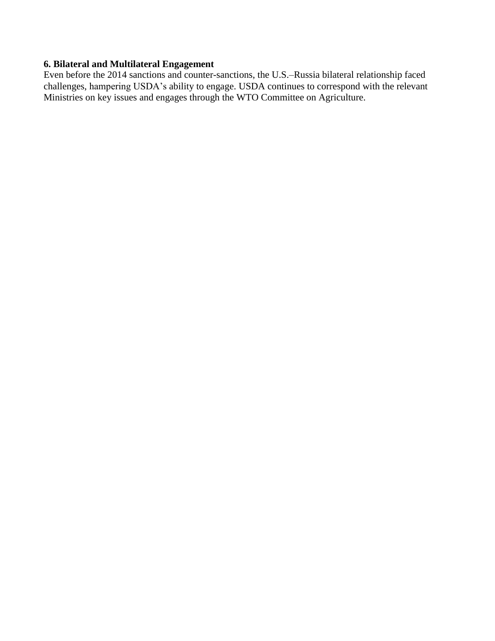# **6. Bilateral and Multilateral Engagement**

Even before the 2014 sanctions and counter-sanctions, the U.S.–Russia bilateral relationship faced challenges, hampering USDA's ability to engage. USDA continues to correspond with the relevant Ministries on key issues and engages through the WTO Committee on Agriculture.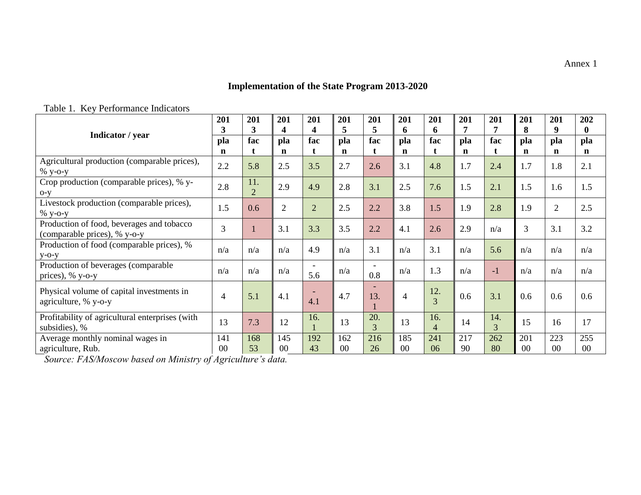# **Implementation of the State Program 2013-2020**

<span id="page-20-0"></span>

|                                                                           | 201<br>3           | 201<br>3              | 201<br>4           | 201<br>4       | 201<br>5           | 201<br>5                 | 201<br>6           | 201<br>6              | 201<br>7           | 201<br>7  | 201<br>8           | 201<br>9           | 202<br>$\bf{0}$    |
|---------------------------------------------------------------------------|--------------------|-----------------------|--------------------|----------------|--------------------|--------------------------|--------------------|-----------------------|--------------------|-----------|--------------------|--------------------|--------------------|
| Indicator / year                                                          | pla<br>$\mathbf n$ | fac<br>t              | pla<br>$\mathbf n$ | fac<br>t       | pla<br>$\mathbf n$ | fac<br>t                 | pla<br>$\mathbf n$ | fac<br>t              | pla<br>$\mathbf n$ | fac<br>t  | pla<br>$\mathbf n$ | pla<br>$\mathbf n$ | pla<br>$\mathbf n$ |
| Agricultural production (comparable prices),<br>$%$ y-o-y                 | 2.2                | 5.8                   | 2.5                | 3.5            | 2.7                | 2.6                      | 3.1                | 4.8                   | 1.7                | 2.4       | 1.7                | 1.8                | 2.1                |
| Crop production (comparable prices), % y-<br>$O-V$                        | 2.8                | 11.<br>$\overline{2}$ | 2.9                | 4.9            | 2.8                | 3.1                      | 2.5                | 7.6                   | 1.5                | 2.1       | 1.5                | 1.6                | 1.5                |
| Livestock production (comparable prices),<br>$%$ y-o-y                    | 1.5                | 0.6                   | $\overline{2}$     | $\overline{2}$ | 2.5                | 2.2                      | 3.8                | 1.5                   | 1.9                | 2.8       | 1.9                | $\overline{2}$     | 2.5                |
| Production of food, beverages and tobacco<br>(comparable prices), % y-o-y | 3                  |                       | 3.1                | 3.3            | 3.5                | 2.2                      | 4.1                | 2.6                   | 2.9                | n/a       | $\mathfrak{Z}$     | 3.1                | 3.2                |
| Production of food (comparable prices), %<br>$V-O-V$                      | n/a                | n/a                   | n/a                | 4.9            | n/a                | 3.1                      | n/a                | 3.1                   | n/a                | 5.6       | n/a                | n/a                | n/a                |
| Production of beverages (comparable<br>prices), $\%$ y-o-y                | n/a                | n/a                   | n/a                | 5.6            | n/a                | $\qquad \qquad -$<br>0.8 | n/a                | 1.3                   | n/a                | $-1$      | n/a                | n/a                | n/a                |
| Physical volume of capital investments in<br>agriculture, % y-o-y         | 4                  | 5.1                   | 4.1                | 4.1            | 4.7                | ٠<br>13.                 | $\overline{4}$     | 12.<br>$\overline{3}$ | 0.6                | 3.1       | 0.6                | 0.6                | 0.6                |
| Profitability of agricultural enterprises (with<br>subsidies), %          | 13                 | 7.3                   | 12                 | 16.            | 13                 | 20.<br>3                 | 13                 | 16.<br>$\overline{4}$ | 14                 | 14.<br>3  | 15                 | 16                 | 17                 |
| Average monthly nominal wages in<br>agriculture, Rub.                     | 141<br>00          | 168<br>53             | 145<br>00          | 192<br>43      | 162<br>00          | 216<br>26                | 185<br>00          | 241<br>06             | 217<br>90          | 262<br>80 | 201<br>00          | 223<br>00          | 255<br>00          |

Table 1. Key Performance Indicators

*Source: FAS/Moscow based on Ministry of Agriculture's data.*